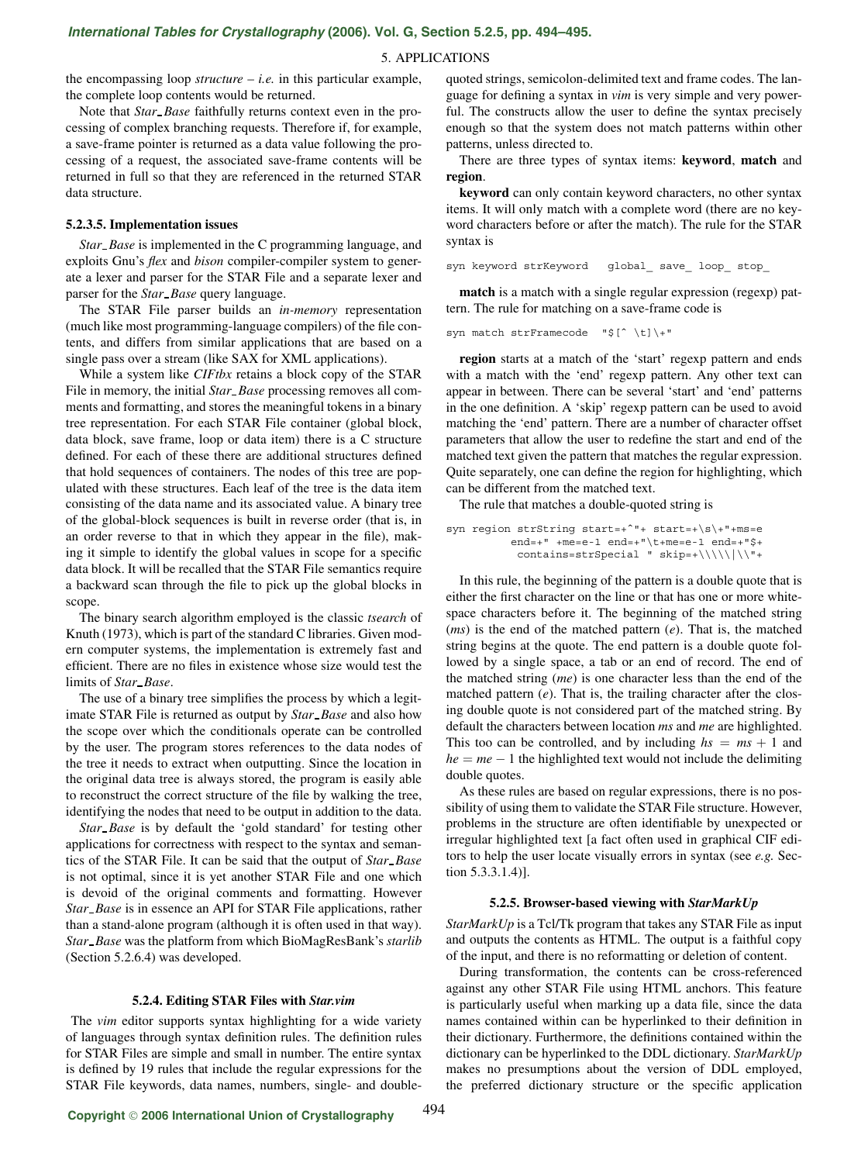# 5. APPLICATIONS

the encompassing loop *structure*  $- i.e.$  in this particular example, the complete loop contents would be returned.

Note that *Star Base* faithfully returns context even in the processing of complex branching requests. Therefore if, for example, a save-frame pointer is returned as a data value following the processing of a request, the associated save-frame contents will be returned in full so that they are referenced in the returned STAR data structure.

# **5.2.3.5. Implementation issues**

*Star Base* is implemented in the C programming language, and exploits Gnu's *flex* and *bison* compiler-compiler system to generate a lexer and parser for the STAR File and a separate lexer and parser for the *Star Base* query language.

The STAR File parser builds an *in-memory* representation (much like most programming-language compilers) of the file contents, and differs from similar applications that are based on a single pass over a stream (like SAX for XML applications).

While a system like *CIFtbx* retains a block copy of the STAR File in memory, the initial *Star Base* processing removes all comments and formatting, and stores the meaningful tokens in a binary tree representation. For each STAR File container (global block, data block, save frame, loop or data item) there is a C structure defined. For each of these there are additional structures defined that hold sequences of containers. The nodes of this tree are populated with these structures. Each leaf of the tree is the data item consisting of the data name and its associated value. A binary tree of the global-block sequences is built in reverse order (that is, in an order reverse to that in which they appear in the file), making it simple to identify the global values in scope for a specific data block. It will be recalled that the STAR File semantics require a backward scan through the file to pick up the global blocks in scope.

The binary search algorithm employed is the classic *tsearch* of Knuth (1973), which is part of the standard C libraries. Given modern computer systems, the implementation is extremely fast and efficient. There are no files in existence whose size would test the limits of *Star Base*.

The use of a binary tree simplifies the process by which a legitimate STAR File is returned as output by *Star Base* and also how the scope over which the conditionals operate can be controlled by the user. The program stores references to the data nodes of the tree it needs to extract when outputting. Since the location in the original data tree is always stored, the program is easily able to reconstruct the correct structure of the file by walking the tree, identifying the nodes that need to be output in addition to the data.

*Star Base* is by default the 'gold standard' for testing other applications for correctness with respect to the syntax and semantics of the STAR File. It can be said that the output of *Star Base* is not optimal, since it is yet another STAR File and one which is devoid of the original comments and formatting. However *Star Base* is in essence an API for STAR File applications, rather than a stand-alone program (although it is often used in that way). *Star Base* was the platform from which BioMagResBank's *starlib* (Section 5.2.6.4) was developed.

## **5.2.4. Editing STAR Files with** *Star.vim*

The *vim* editor supports syntax highlighting for a wide variety of languages through syntax definition rules. The definition rules for STAR Files are simple and small in number. The entire syntax is defined by 19 rules that include the regular expressions for the STAR File keywords, data names, numbers, single- and doublequoted strings, semicolon-delimited text and frame codes. The language for defining a syntax in *vim* is very simple and very powerful. The constructs allow the user to define the syntax precisely enough so that the system does not match patterns within other patterns, unless directed to.

There are three types of syntax items: **keyword**, **match** and **region**.

**keyword** can only contain keyword characters, no other syntax items. It will only match with a complete word (there are no keyword characters before or after the match). The rule for the STAR syntax is

syn keyword strKeyword global\_ save\_ loop\_ stop\_

**match** is a match with a single regular expression (regexp) pattern. The rule for matching on a save-frame code is

syn match strFramecode "\$[ˆ \t]\+"

**region** starts at a match of the 'start' regexp pattern and ends with a match with the 'end' regexp pattern. Any other text can appear in between. There can be several 'start' and 'end' patterns in the one definition. A 'skip' regexp pattern can be used to avoid matching the 'end' pattern. There are a number of character offset parameters that allow the user to redefine the start and end of the matched text given the pattern that matches the regular expression. Quite separately, one can define the region for highlighting, which can be different from the matched text.

The rule that matches a double-quoted string is

```
syn region strString start=+ˆ"+ start=+\s\+"+ms=e
end=+" +me=e-1 end=+"\t+me=e-1 end=+"$+
contains=strSpecial " skip=+\\\\\|\\"+
```
In this rule, the beginning of the pattern is a double quote that is either the first character on the line or that has one or more whitespace characters before it. The beginning of the matched string (*ms*) is the end of the matched pattern (*e*). That is, the matched string begins at the quote. The end pattern is a double quote followed by a single space, a tab or an end of record. The end of the matched string (*me*) is one character less than the end of the matched pattern (*e*). That is, the trailing character after the closing double quote is not considered part of the matched string. By default the characters between location *ms* and *me* are highlighted. This too can be controlled, and by including  $hs = ms + 1$  and  $he = me - 1$  the highlighted text would not include the delimiting double quotes.

As these rules are based on regular expressions, there is no possibility of using them to validate the STAR File structure. However, problems in the structure are often identifiable by unexpected or irregular highlighted text [a fact often used in graphical CIF editors to help the user locate visually errors in syntax (see *e.g.* Section 5.3.3.1.4)].

## **5.2.5. Browser-based viewing with** *StarMarkUp*

*StarMarkUp* is a Tcl/Tk program that takes any STAR File as input and outputs the contents as HTML. The output is a faithful copy of the input, and there is no reformatting or deletion of content.

During transformation, the contents can be cross-referenced against any other STAR File using HTML anchors. This feature is particularly useful when marking up a data file, since the data names contained within can be hyperlinked to their definition in their dictionary. Furthermore, the definitions contained within the dictionary can be hyperlinked to the DDL dictionary. *StarMarkUp* makes no presumptions about the version of DDL employed, the preferred dictionary structure or the specific application